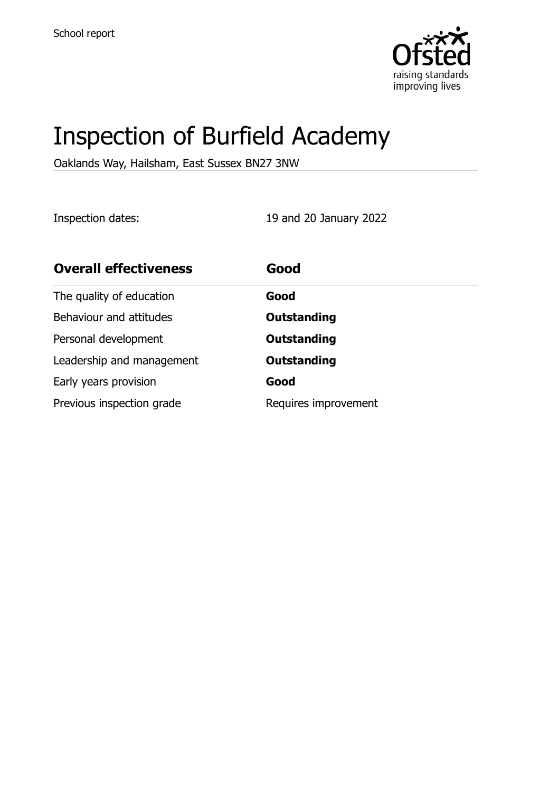

# Inspection of Burfield Academy

Oaklands Way, Hailsham, East Sussex BN27 3NW

Inspection dates: 19 and 20 January 2022

| <b>Overall effectiveness</b> | Good                 |
|------------------------------|----------------------|
| The quality of education     | Good                 |
| Behaviour and attitudes      | <b>Outstanding</b>   |
| Personal development         | <b>Outstanding</b>   |
| Leadership and management    | <b>Outstanding</b>   |
| Early years provision        | Good                 |
| Previous inspection grade    | Requires improvement |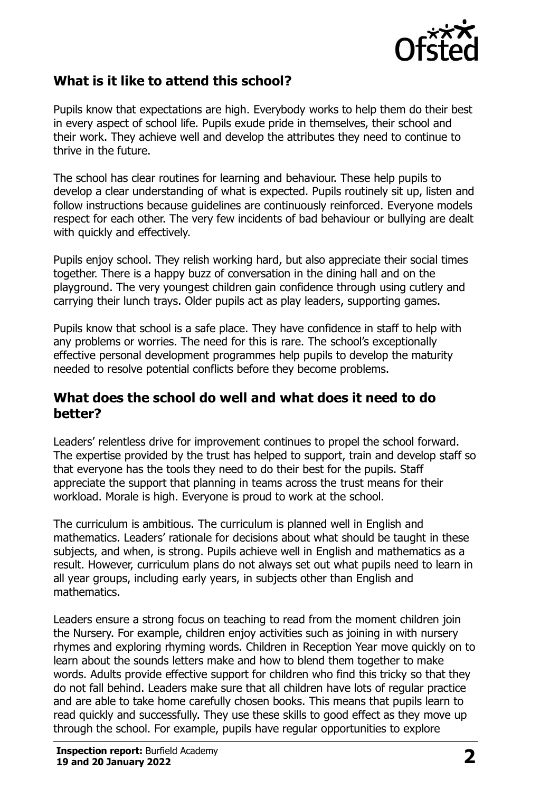

## **What is it like to attend this school?**

Pupils know that expectations are high. Everybody works to help them do their best in every aspect of school life. Pupils exude pride in themselves, their school and their work. They achieve well and develop the attributes they need to continue to thrive in the future.

The school has clear routines for learning and behaviour. These help pupils to develop a clear understanding of what is expected. Pupils routinely sit up, listen and follow instructions because guidelines are continuously reinforced. Everyone models respect for each other. The very few incidents of bad behaviour or bullying are dealt with quickly and effectively.

Pupils enjoy school. They relish working hard, but also appreciate their social times together. There is a happy buzz of conversation in the dining hall and on the playground. The very youngest children gain confidence through using cutlery and carrying their lunch trays. Older pupils act as play leaders, supporting games.

Pupils know that school is a safe place. They have confidence in staff to help with any problems or worries. The need for this is rare. The school's exceptionally effective personal development programmes help pupils to develop the maturity needed to resolve potential conflicts before they become problems.

#### **What does the school do well and what does it need to do better?**

Leaders' relentless drive for improvement continues to propel the school forward. The expertise provided by the trust has helped to support, train and develop staff so that everyone has the tools they need to do their best for the pupils. Staff appreciate the support that planning in teams across the trust means for their workload. Morale is high. Everyone is proud to work at the school.

The curriculum is ambitious. The curriculum is planned well in English and mathematics. Leaders' rationale for decisions about what should be taught in these subjects, and when, is strong. Pupils achieve well in English and mathematics as a result. However, curriculum plans do not always set out what pupils need to learn in all year groups, including early years, in subjects other than English and mathematics.

Leaders ensure a strong focus on teaching to read from the moment children join the Nursery. For example, children enjoy activities such as joining in with nursery rhymes and exploring rhyming words. Children in Reception Year move quickly on to learn about the sounds letters make and how to blend them together to make words. Adults provide effective support for children who find this tricky so that they do not fall behind. Leaders make sure that all children have lots of regular practice and are able to take home carefully chosen books. This means that pupils learn to read quickly and successfully. They use these skills to good effect as they move up through the school. For example, pupils have regular opportunities to explore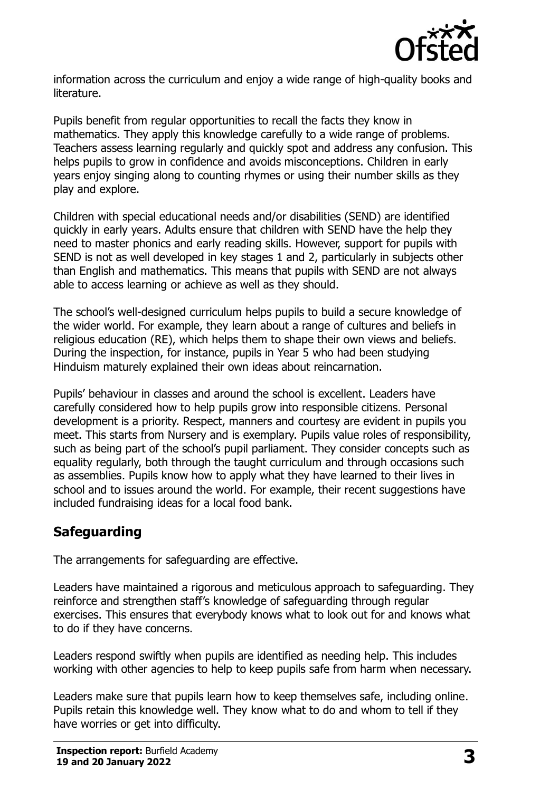

information across the curriculum and enjoy a wide range of high-quality books and literature.

Pupils benefit from regular opportunities to recall the facts they know in mathematics. They apply this knowledge carefully to a wide range of problems. Teachers assess learning regularly and quickly spot and address any confusion. This helps pupils to grow in confidence and avoids misconceptions. Children in early years enjoy singing along to counting rhymes or using their number skills as they play and explore.

Children with special educational needs and/or disabilities (SEND) are identified quickly in early years. Adults ensure that children with SEND have the help they need to master phonics and early reading skills. However, support for pupils with SEND is not as well developed in key stages 1 and 2, particularly in subjects other than English and mathematics. This means that pupils with SEND are not always able to access learning or achieve as well as they should.

The school's well-designed curriculum helps pupils to build a secure knowledge of the wider world. For example, they learn about a range of cultures and beliefs in religious education (RE), which helps them to shape their own views and beliefs. During the inspection, for instance, pupils in Year 5 who had been studying Hinduism maturely explained their own ideas about reincarnation.

Pupils' behaviour in classes and around the school is excellent. Leaders have carefully considered how to help pupils grow into responsible citizens. Personal development is a priority. Respect, manners and courtesy are evident in pupils you meet. This starts from Nursery and is exemplary. Pupils value roles of responsibility, such as being part of the school's pupil parliament. They consider concepts such as equality regularly, both through the taught curriculum and through occasions such as assemblies. Pupils know how to apply what they have learned to their lives in school and to issues around the world. For example, their recent suggestions have included fundraising ideas for a local food bank.

# **Safeguarding**

The arrangements for safeguarding are effective.

Leaders have maintained a rigorous and meticulous approach to safeguarding. They reinforce and strengthen staff's knowledge of safeguarding through regular exercises. This ensures that everybody knows what to look out for and knows what to do if they have concerns.

Leaders respond swiftly when pupils are identified as needing help. This includes working with other agencies to help to keep pupils safe from harm when necessary.

Leaders make sure that pupils learn how to keep themselves safe, including online. Pupils retain this knowledge well. They know what to do and whom to tell if they have worries or get into difficulty.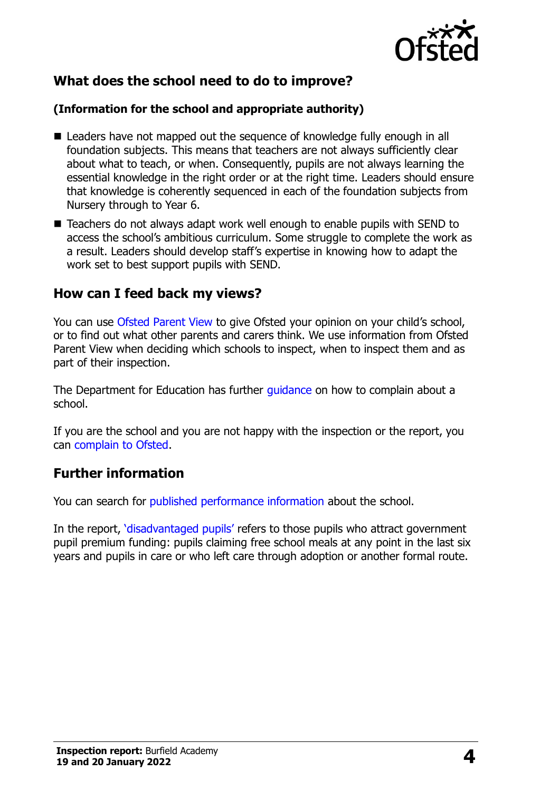

# **What does the school need to do to improve?**

#### **(Information for the school and appropriate authority)**

- Leaders have not mapped out the sequence of knowledge fully enough in all foundation subjects. This means that teachers are not always sufficiently clear about what to teach, or when. Consequently, pupils are not always learning the essential knowledge in the right order or at the right time. Leaders should ensure that knowledge is coherently sequenced in each of the foundation subjects from Nursery through to Year 6.
- Teachers do not always adapt work well enough to enable pupils with SEND to access the school's ambitious curriculum. Some struggle to complete the work as a result. Leaders should develop staff's expertise in knowing how to adapt the work set to best support pupils with SEND.

## **How can I feed back my views?**

You can use [Ofsted Parent View](http://parentview.ofsted.gov.uk/) to give Ofsted your opinion on your child's school, or to find out what other parents and carers think. We use information from Ofsted Parent View when deciding which schools to inspect, when to inspect them and as part of their inspection.

The Department for Education has further quidance on how to complain about a school.

If you are the school and you are not happy with the inspection or the report, you can [complain to Ofsted.](http://www.gov.uk/complain-ofsted-report)

# **Further information**

You can search for [published performance information](http://www.compare-school-performance.service.gov.uk/) about the school.

In the report, '[disadvantaged pupils](http://www.gov.uk/guidance/pupil-premium-information-for-schools-and-alternative-provision-settings)' refers to those pupils who attract government pupil premium funding: pupils claiming free school meals at any point in the last six years and pupils in care or who left care through adoption or another formal route.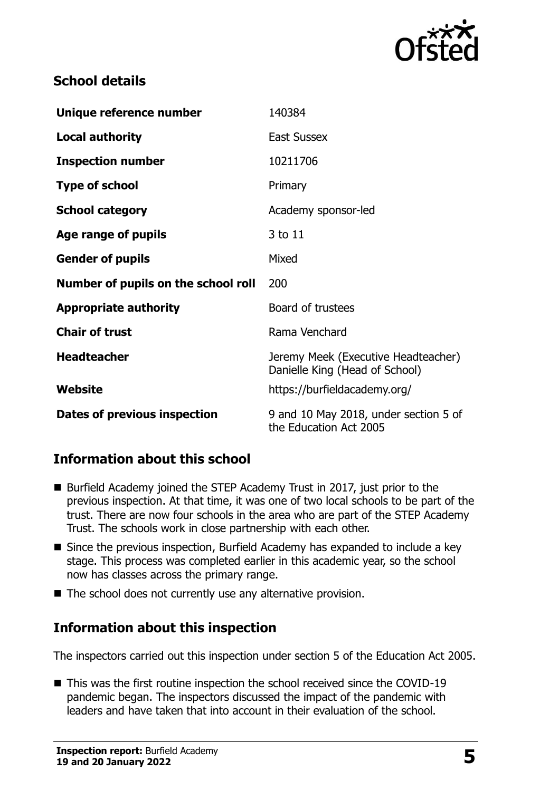

## **School details**

| Unique reference number             | 140384                                                                |  |
|-------------------------------------|-----------------------------------------------------------------------|--|
| <b>Local authority</b>              | <b>East Sussex</b>                                                    |  |
| <b>Inspection number</b>            | 10211706                                                              |  |
| <b>Type of school</b>               | Primary                                                               |  |
| <b>School category</b>              | Academy sponsor-led                                                   |  |
| Age range of pupils                 | 3 to 11                                                               |  |
| <b>Gender of pupils</b>             | Mixed                                                                 |  |
| Number of pupils on the school roll | 200                                                                   |  |
| <b>Appropriate authority</b>        | Board of trustees                                                     |  |
|                                     |                                                                       |  |
| <b>Chair of trust</b>               | Rama Venchard                                                         |  |
| <b>Headteacher</b>                  | Jeremy Meek (Executive Headteacher)<br>Danielle King (Head of School) |  |
| Website                             | https://burfieldacademy.org/                                          |  |

#### **Information about this school**

- Burfield Academy joined the STEP Academy Trust in 2017, just prior to the previous inspection. At that time, it was one of two local schools to be part of the trust. There are now four schools in the area who are part of the STEP Academy Trust. The schools work in close partnership with each other.
- Since the previous inspection, Burfield Academy has expanded to include a key stage. This process was completed earlier in this academic year, so the school now has classes across the primary range.
- The school does not currently use any alternative provision.

#### **Information about this inspection**

The inspectors carried out this inspection under section 5 of the Education Act 2005.

■ This was the first routine inspection the school received since the COVID-19 pandemic began. The inspectors discussed the impact of the pandemic with leaders and have taken that into account in their evaluation of the school.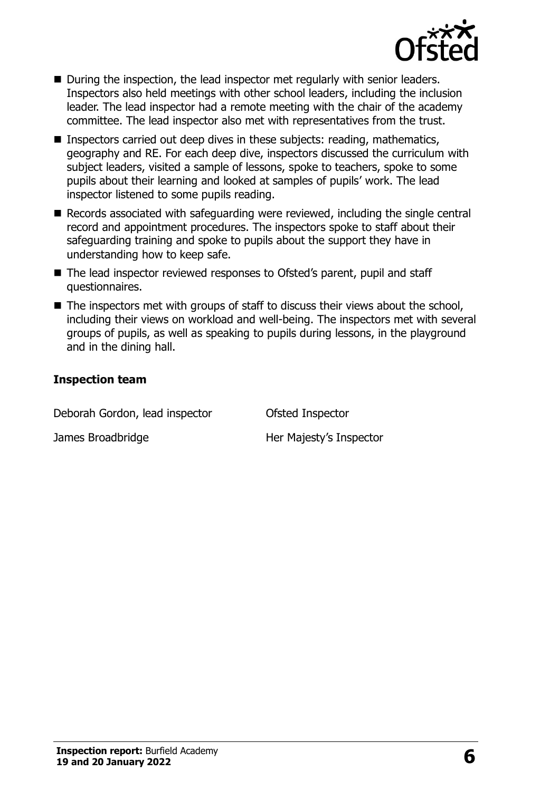

- During the inspection, the lead inspector met regularly with senior leaders. Inspectors also held meetings with other school leaders, including the inclusion leader. The lead inspector had a remote meeting with the chair of the academy committee. The lead inspector also met with representatives from the trust.
- Inspectors carried out deep dives in these subjects: reading, mathematics, geography and RE. For each deep dive, inspectors discussed the curriculum with subject leaders, visited a sample of lessons, spoke to teachers, spoke to some pupils about their learning and looked at samples of pupils' work. The lead inspector listened to some pupils reading.
- Records associated with safeguarding were reviewed, including the single central record and appointment procedures. The inspectors spoke to staff about their safeguarding training and spoke to pupils about the support they have in understanding how to keep safe.
- The lead inspector reviewed responses to Ofsted's parent, pupil and staff questionnaires.
- The inspectors met with groups of staff to discuss their views about the school, including their views on workload and well-being. The inspectors met with several groups of pupils, as well as speaking to pupils during lessons, in the playground and in the dining hall.

#### **Inspection team**

| Deborah Gordon, lead inspector | Ofsted Inspector        |
|--------------------------------|-------------------------|
| James Broadbridge              | Her Majesty's Inspector |